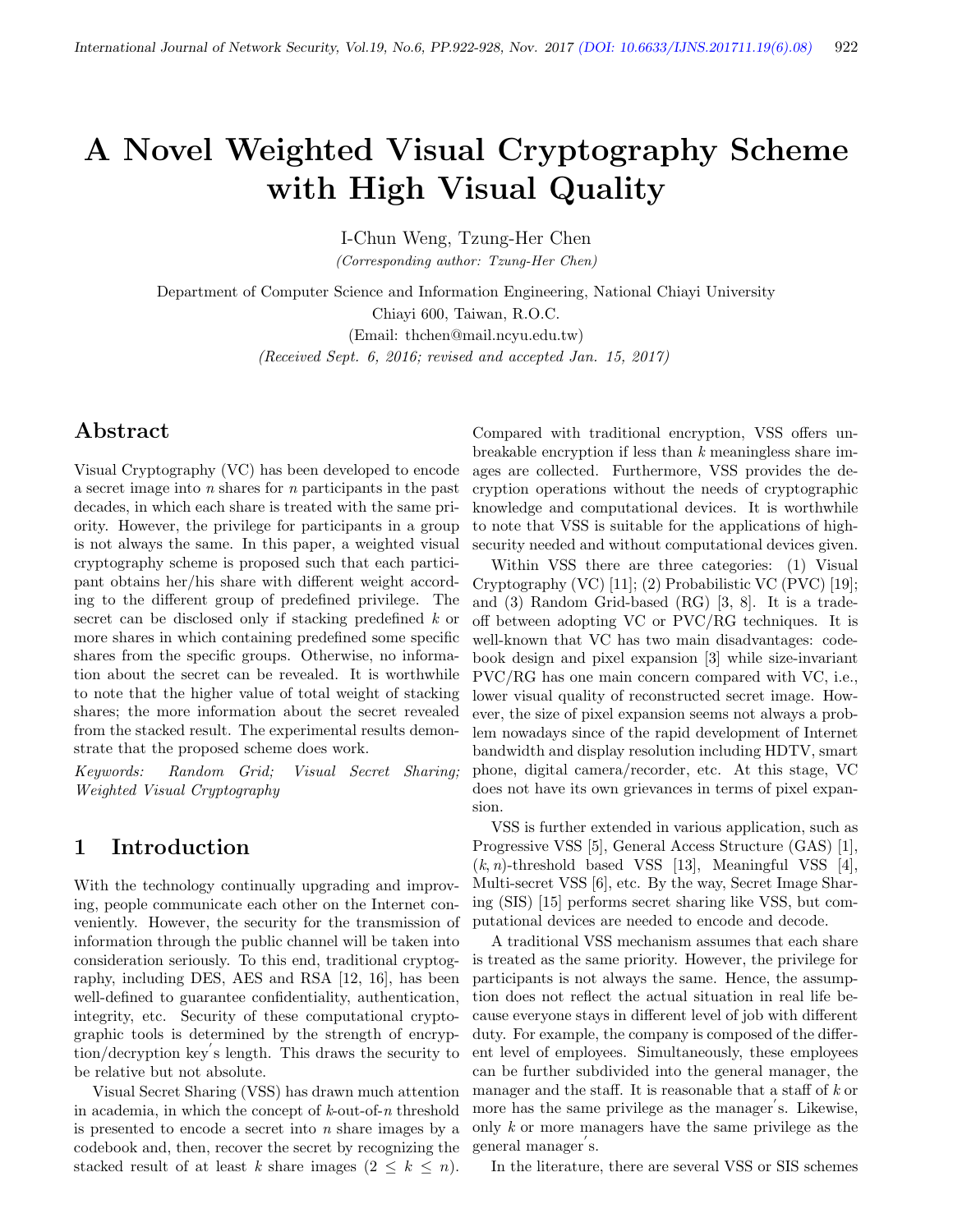# A Novel Weighted Visual Cryptography Scheme with High Visual Quality

I-Chun Weng, Tzung-Her Chen

(Corresponding author: Tzung-Her Chen)

Department of Computer Science and Information Engineering, National Chiayi University Chiayi 600, Taiwan, R.O.C. (Email: thchen@mail.ncyu.edu.tw)

(Received Sept. 6, 2016; revised and accepted Jan. 15, 2017)

## Abstract

Visual Cryptography (VC) has been developed to encode a secret image into n shares for n participants in the past decades, in which each share is treated with the same priority. However, the privilege for participants in a group is not always the same. In this paper, a weighted visual cryptography scheme is proposed such that each participant obtains her/his share with different weight according to the different group of predefined privilege. The secret can be disclosed only if stacking predefined k or more shares in which containing predefined some specific shares from the specific groups. Otherwise, no information about the secret can be revealed. It is worthwhile to note that the higher value of total weight of stacking shares; the more information about the secret revealed from the stacked result. The experimental results demonstrate that the proposed scheme does work.

Keywords: Random Grid; Visual Secret Sharing; Weighted Visual Cryptography

# 1 Introduction

With the technology continually upgrading and improving, people communicate each other on the Internet conveniently. However, the security for the transmission of information through the public channel will be taken into consideration seriously. To this end, traditional cryptography, including DES, AES and RSA [12, 16], has been well-defined to guarantee confidentiality, authentication, integrity, etc. Security of these computational cryptographic tools is determined by the strength of encryp- $\overrightarrow{\text{tion}}$  decryption key's length. This draws the security to be relative but not absolute.

Visual Secret Sharing (VSS) has drawn much attention in academia, in which the concept of  $k$ -out-of-n threshold is presented to encode a secret into  $n$  share images by a codebook and, then, recover the secret by recognizing the stacked result of at least k share images  $(2 \leq k \leq n)$ . Compared with traditional encryption, VSS offers unbreakable encryption if less than  $k$  meaningless share images are collected. Furthermore, VSS provides the decryption operations without the needs of cryptographic knowledge and computational devices. It is worthwhile to note that VSS is suitable for the applications of highsecurity needed and without computational devices given.

Within VSS there are three categories: (1) Visual Cryptography (VC) [11]; (2) Probabilistic VC (PVC) [19]; and (3) Random Grid-based (RG) [3, 8]. It is a tradeoff between adopting VC or PVC/RG techniques. It is well-known that VC has two main disadvantages: codebook design and pixel expansion [3] while size-invariant PVC/RG has one main concern compared with VC, i.e., lower visual quality of reconstructed secret image. However, the size of pixel expansion seems not always a problem nowadays since of the rapid development of Internet bandwidth and display resolution including HDTV, smart phone, digital camera/recorder, etc. At this stage, VC does not have its own grievances in terms of pixel expansion.

VSS is further extended in various application, such as Progressive VSS [5], General Access Structure (GAS) [1],  $(k, n)$ -threshold based VSS [13], Meaningful VSS [4], Multi-secret VSS [6], etc. By the way, Secret Image Sharing (SIS) [15] performs secret sharing like VSS, but computational devices are needed to encode and decode.

A traditional VSS mechanism assumes that each share is treated as the same priority. However, the privilege for participants is not always the same. Hence, the assumption does not reflect the actual situation in real life because everyone stays in different level of job with different duty. For example, the company is composed of the different level of employees. Simultaneously, these employees can be further subdivided into the general manager, the manager and the staff. It is reasonable that a staff of k or more has the same privilege as the manager's. Likewise, only k or more managers have the same privilege as the general manager's.

In the literature, there are several VSS or SIS schemes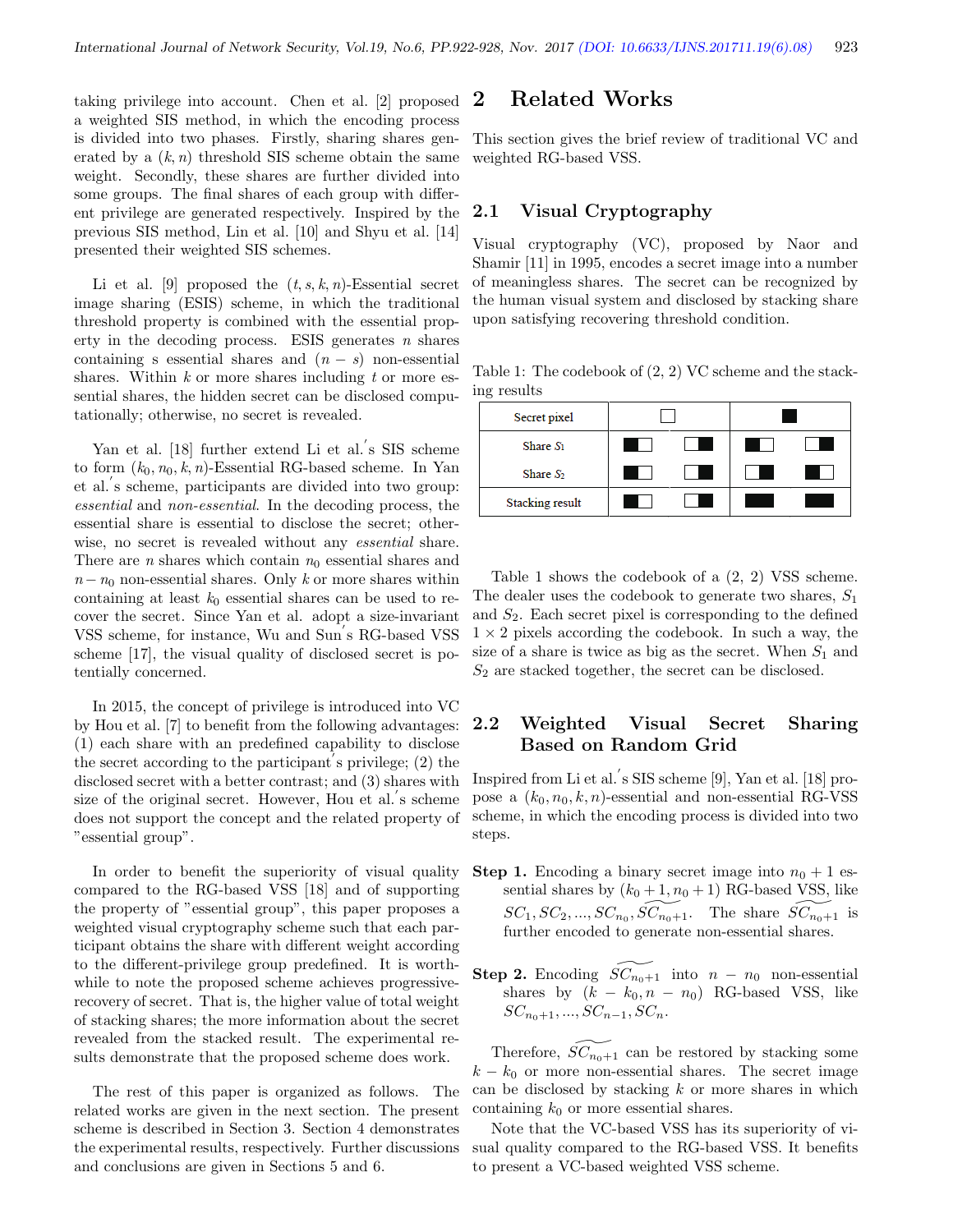taking privilege into account. Chen et al. [2] proposed a weighted SIS method, in which the encoding process is divided into two phases. Firstly, sharing shares generated by a  $(k, n)$  threshold SIS scheme obtain the same weight. Secondly, these shares are further divided into some groups. The final shares of each group with different privilege are generated respectively. Inspired by the previous SIS method, Lin et al. [10] and Shyu et al. [14] presented their weighted SIS schemes.

Li et al. [9] proposed the  $(t, s, k, n)$ -Essential secret image sharing (ESIS) scheme, in which the traditional threshold property is combined with the essential property in the decoding process. ESIS generates  $n$  shares containing s essential shares and  $(n - s)$  non-essential shares. Within  $k$  or more shares including  $t$  or more essential shares, the hidden secret can be disclosed computationally; otherwise, no secret is revealed.

Yan et al. [18] further extend Li et al.'s SIS scheme to form  $(k_0, n_0, k, n)$ -Essential RG-based scheme. In Yan et al.'s scheme, participants are divided into two group: essential and non-essential. In the decoding process, the essential share is essential to disclose the secret; otherwise, no secret is revealed without any *essential* share. There are *n* shares which contain  $n_0$  essential shares and  $n - n_0$  non-essential shares. Only k or more shares within containing at least  $k_0$  essential shares can be used to recover the secret. Since Yan et al. adopt a size-invariant VSS scheme, for instance, Wu and Sun's RG-based VSS scheme [17], the visual quality of disclosed secret is potentially concerned.

In 2015, the concept of privilege is introduced into VC by Hou et al. [7] to benefit from the following advantages: (1) each share with an predefined capability to disclose the secret according to the participant's privilege;  $(2)$  the disclosed secret with a better contrast; and (3) shares with size of the original secret. However, Hou et al.'s scheme does not support the concept and the related property of "essential group".

In order to benefit the superiority of visual quality compared to the RG-based VSS [18] and of supporting the property of "essential group", this paper proposes a weighted visual cryptography scheme such that each participant obtains the share with different weight according to the different-privilege group predefined. It is worthwhile to note the proposed scheme achieves progressiverecovery of secret. That is, the higher value of total weight of stacking shares; the more information about the secret revealed from the stacked result. The experimental results demonstrate that the proposed scheme does work.

The rest of this paper is organized as follows. The related works are given in the next section. The present scheme is described in Section 3. Section 4 demonstrates the experimental results, respectively. Further discussions and conclusions are given in Sections 5 and 6.

#### 2 Related Works

This section gives the brief review of traditional VC and weighted RG-based VSS.

#### 2.1 Visual Cryptography

Visual cryptography (VC), proposed by Naor and Shamir [11] in 1995, encodes a secret image into a number of meaningless shares. The secret can be recognized by the human visual system and disclosed by stacking share upon satisfying recovering threshold condition.

Table 1: The codebook of (2, 2) VC scheme and the stacking results

| Secret pixel    |  |  |  |  |
|-----------------|--|--|--|--|
| Share St        |  |  |  |  |
| Share $S_2$     |  |  |  |  |
| Stacking result |  |  |  |  |

Table 1 shows the codebook of a (2, 2) VSS scheme. The dealer uses the codebook to generate two shares,  $S_1$ and  $S_2$ . Each secret pixel is corresponding to the defined  $1 \times 2$  pixels according the codebook. In such a way, the size of a share is twice as big as the secret. When  $S_1$  and  $S_2$  are stacked together, the secret can be disclosed.

#### 2.2 Weighted Visual Secret Sharing Based on Random Grid

Inspired from Li et al. <sup>'</sup>s SIS scheme [9], Yan et al. [18] propose a  $(k_0, n_0, k, n)$ -essential and non-essential RG-VSS scheme, in which the encoding process is divided into two steps.

- **Step 1.** Encoding a binary secret image into  $n_0 + 1$  essential shares by  $(k_0 + 1, n_0 + 1)$  RG-based VSS, like  $SC_1, SC_2, ..., SC_{n_0}, \widetilde{SC_{n_0+1}}$ . The share  $\widetilde{SC_{n_0+1}}$  is further encoded to generate non-essential shares.
- **Step 2.** Encoding  $\widetilde{SC_{n_0+1}}$  into  $n n_0$  non-essential shares by  $(k - k_0, n - n_0)$  RG-based VSS, like  $SC_{n_0+1}, ..., SC_{n-1}, SC_n.$

Therefore,  $SC_{n_0+1}$  can be restored by stacking some  $k - k_0$  or more non-essential shares. The secret image can be disclosed by stacking  $k$  or more shares in which containing  $k_0$  or more essential shares.

Note that the VC-based VSS has its superiority of visual quality compared to the RG-based VSS. It benefits to present a VC-based weighted VSS scheme.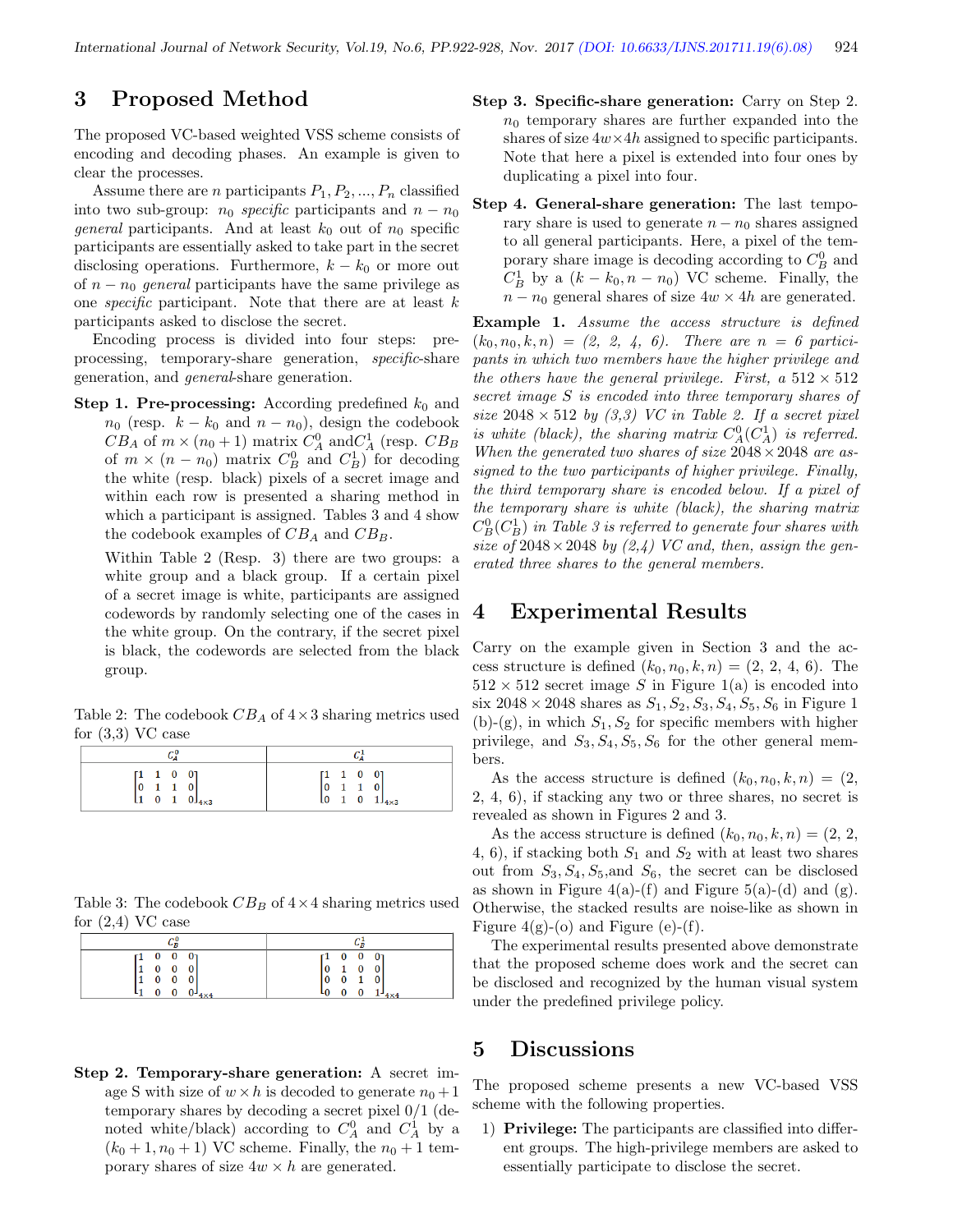#### 3 Proposed Method

The proposed VC-based weighted VSS scheme consists of encoding and decoding phases. An example is given to clear the processes.

Assume there are *n* participants  $P_1, P_2, ..., P_n$  classified into two sub-group:  $n_0$  specific participants and  $n - n_0$ *general* participants. And at least  $k_0$  out of  $n_0$  specific participants are essentially asked to take part in the secret disclosing operations. Furthermore,  $k - k_0$  or more out of  $n - n_0$  general participants have the same privilege as one *specific* participant. Note that there are at least  $k$ participants asked to disclose the secret.

Encoding process is divided into four steps: preprocessing, temporary-share generation, specific-share generation, and general-share generation.

**Step 1. Pre-processing:** According predefined  $k_0$  and  $n_0$  (resp.  $k - k_0$  and  $n - n_0$ ), design the codebook  $CB_A$  of  $m \times (n_0 + 1)$  matrix  $C_A^0$  and  $C_A^1$  (resp.  $CB_B$ of  $m \times (n - n_0)$  matrix  $C_B^0$  and  $C_B^1$ ) for decoding the white (resp. black) pixels of a secret image and within each row is presented a sharing method in which a participant is assigned. Tables 3 and 4 show the codebook examples of  $CB_A$  and  $CB_B$ .

Within Table 2 (Resp. 3) there are two groups: a white group and a black group. If a certain pixel of a secret image is white, participants are assigned codewords by randomly selecting one of the cases in the white group. On the contrary, if the secret pixel is black, the codewords are selected from the black group.

Table 2: The codebook  $CB_A$  of  $4 \times 3$  sharing metrics used for  $(3,3)$  VC case

| $c^{\mathsf{v}}$                                                          |                                                                            |  |  |
|---------------------------------------------------------------------------|----------------------------------------------------------------------------|--|--|
| $\begin{bmatrix} 1 & 1 & 0 & 0 \\ 0 & 1 & 1 & 0 \end{bmatrix}$            | $\begin{bmatrix} 1 & 1 & 0 & 0 \\ 0 & 1 & 1 & 0 \end{bmatrix}$             |  |  |
| $\begin{bmatrix} 0 & 1 & 1 & 0 \\ 1 & 0 & 1 & 0 \end{bmatrix}_{4\times3}$ | $\begin{bmatrix} 0 & 1 & 1 & 0 \\ 0 & 1 & 0 & 1 \end{bmatrix}_{4\times 3}$ |  |  |

Table 3: The codebook  $CB_B$  of  $4\times 4$  sharing metrics used for  $(2,4)$  VC case

| $C_{R}^{\vee}$      | $C_{\mathtt{R}}^1$                               |  |  |
|---------------------|--------------------------------------------------|--|--|
| $0 \t 0 \t 0$<br>г1 | $0\quad 0$<br>r1<br>$\bf{0}$                     |  |  |
| 0                   | $\bf{0}$                                         |  |  |
| $\bf{0}$<br>0<br>0  | 0<br>$\bf{0}$<br>$\blacktriangleleft$<br>10<br>щ |  |  |
| 0 <sup>1</sup><br>  | $\mathbf{U}$<br>υ<br>$1 + \ldots$                |  |  |

Step 2. Temporary-share generation: A secret image S with size of  $w \times h$  is decoded to generate  $n_0 + 1$ temporary shares by decoding a secret pixel 0/1 (denoted white/black) according to  $C_A^0$  and  $C_A^1$  by a  $(k_0 + 1, n_0 + 1)$  VC scheme. Finally, the  $n_0 + 1$  temporary shares of size  $4w \times h$  are generated.

- Step 3. Specific-share generation: Carry on Step 2.  $n_0$  temporary shares are further expanded into the shares of size  $4w \times 4h$  assigned to specific participants. Note that here a pixel is extended into four ones by duplicating a pixel into four.
- Step 4. General-share generation: The last temporary share is used to generate  $n - n_0$  shares assigned to all general participants. Here, a pixel of the temporary share image is decoding according to  $C_B^0$  and  $C_B^1$  by a  $(k - k_0, n - n_0)$  VC scheme. Finally, the  $n - n_0$  general shares of size  $4w \times 4h$  are generated.
- Example 1. Assume the access structure is defined  $(k_0, n_0, k, n) = (2, 2, 4, 6)$ . There are  $n = 6$  participants in which two members have the higher privilege and the others have the general privilege. First, a  $512 \times 512$ secret image S is encoded into three temporary shares of size  $2048 \times 512$  by (3,3) VC in Table 2. If a secret pixel is white (black), the sharing matrix  $C_A^0(C_A^1)$  is referred. When the generated two shares of size  $2048 \times 2048$  are assigned to the two participants of higher privilege. Finally, the third temporary share is encoded below. If a pixel of the temporary share is white (black), the sharing matrix  $C^0_B(C^1_B)$  in Table 3 is referred to generate four shares with size of  $2048 \times 2048$  by  $(2,4)$  VC and, then, assign the generated three shares to the general members.

#### 4 Experimental Results

Carry on the example given in Section 3 and the access structure is defined  $(k_0, n_0, k, n) = (2, 2, 4, 6)$ . The  $512 \times 512$  secret image S in Figure 1(a) is encoded into six  $2048 \times 2048$  shares as  $S_1, S_2, S_3, S_4, S_5, S_6$  in Figure 1 (b)-(g), in which  $S_1, S_2$  for specific members with higher privilege, and  $S_3, S_4, S_5, S_6$  for the other general members.

As the access structure is defined  $(k_0, n_0, k, n) = (2,$ 2, 4, 6), if stacking any two or three shares, no secret is revealed as shown in Figures 2 and 3.

As the access structure is defined  $(k_0, n_0, k, n) = (2, 2, ...)$ 4, 6), if stacking both  $S_1$  and  $S_2$  with at least two shares out from  $S_3$ ,  $S_4$ ,  $S_5$ , and  $S_6$ , the secret can be disclosed as shown in Figure 4(a)-(f) and Figure 5(a)-(d) and (g). Otherwise, the stacked results are noise-like as shown in Figure  $4(g)$ -(o) and Figure (e)-(f).

The experimental results presented above demonstrate that the proposed scheme does work and the secret can be disclosed and recognized by the human visual system under the predefined privilege policy.

#### 5 Discussions

The proposed scheme presents a new VC-based VSS scheme with the following properties.

1) Privilege: The participants are classified into different groups. The high-privilege members are asked to essentially participate to disclose the secret.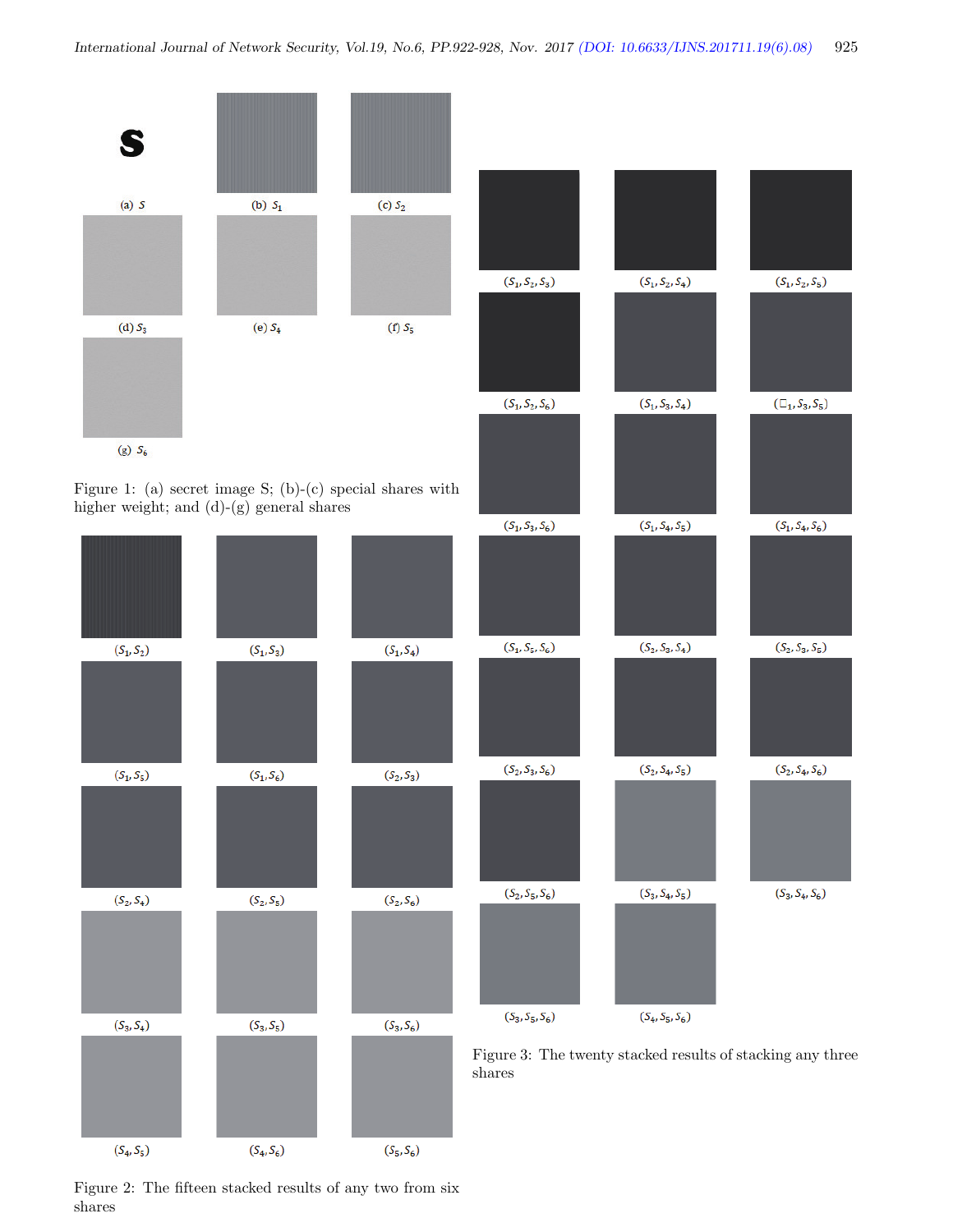

Figure 2: The fifteen stacked results of any two from six shares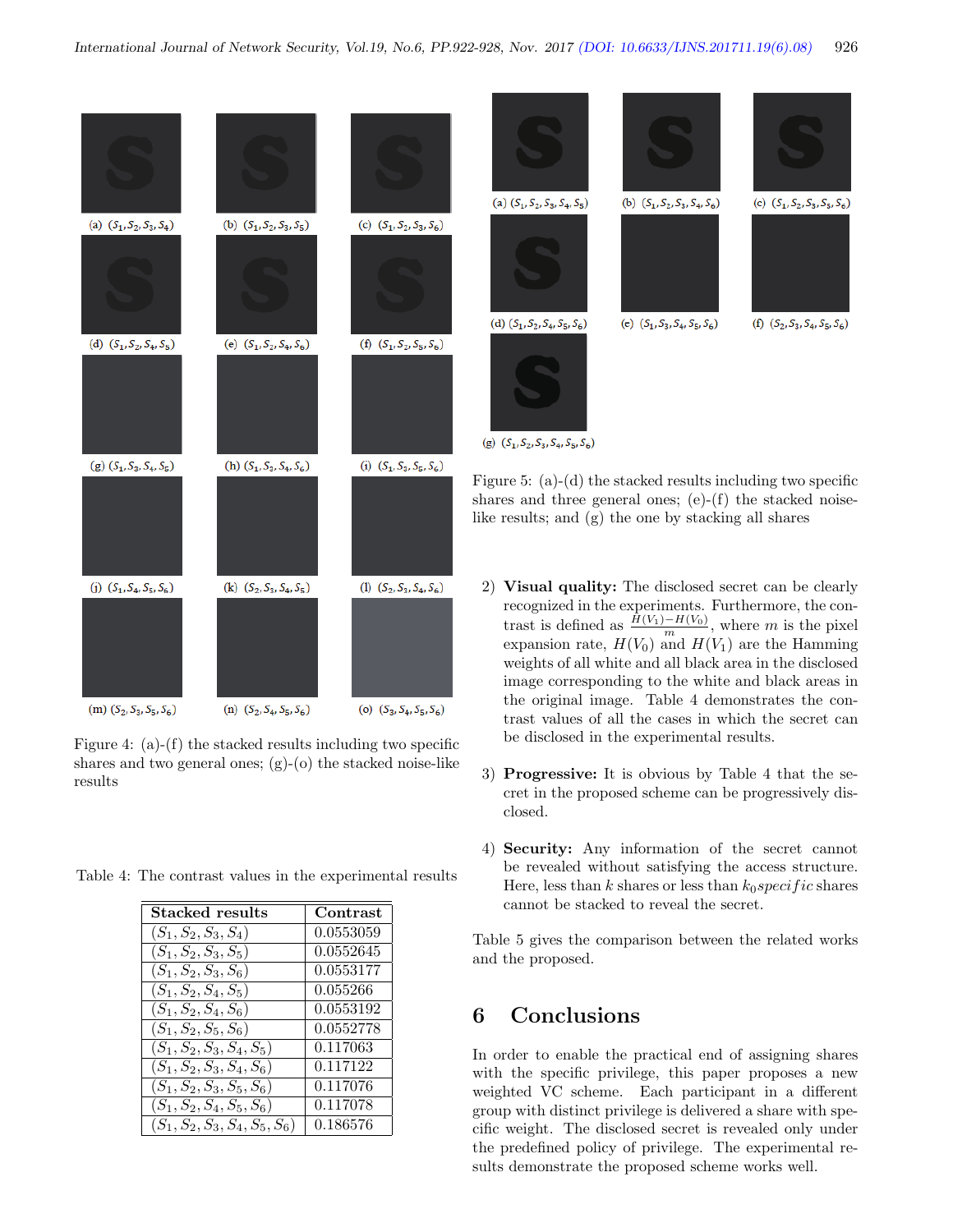

Figure 4: (a)-(f) the stacked results including two specific shares and two general ones; (g)-(o) the stacked noise-like results

Table 4: The contrast values in the experimental results

| Stacked results                  | Contrast  |
|----------------------------------|-----------|
| $(S_1, S_2, S_3, S_4)$           | 0.0553059 |
| $(S_1, S_2, S_3, S_5)$           | 0.0552645 |
| $(S_1, S_2, S_3, S_6)$           | 0.0553177 |
| $(S_1, S_2, S_4, S_5)$           | 0.055266  |
| $(S_1, S_2, S_4, S_6)$           | 0.0553192 |
| $(S_1, S_2, S_5, S_6)$           | 0.0552778 |
| $(S_1, S_2, S_3, S_4, S_5)$      | 0.117063  |
| $(S_1, S_2, S_3, S_4, S_6)$      | 0.117122  |
| $(S_1, S_2, S_3, S_5, S_6)$      | 0.117076  |
| $(S_1, S_2, S_4, S_5, S_6)$      | 0.117078  |
| $(S_1, S_2, S_3, S_4, S_5, S_6)$ | 0.186576  |



(g)  $(S_1, S_2, S_3, S_4, S_5, S_6)$ 

Figure 5: (a)-(d) the stacked results including two specific shares and three general ones; (e)-(f) the stacked noiselike results; and (g) the one by stacking all shares

- 2) Visual quality: The disclosed secret can be clearly recognized in the experiments. Furthermore, the contrast is defined as  $\frac{H(V_1)-H(V_0)}{m}$ , where m is the pixel expansion rate,  $H(V_0)$  and  $H(V_1)$  are the Hamming weights of all white and all black area in the disclosed image corresponding to the white and black areas in the original image. Table 4 demonstrates the contrast values of all the cases in which the secret can be disclosed in the experimental results.
- 3) Progressive: It is obvious by Table 4 that the secret in the proposed scheme can be progressively disclosed.
- 4) Security: Any information of the secret cannot be revealed without satisfying the access structure. Here, less than k shares or less than  $k_0$  specific shares cannot be stacked to reveal the secret.

Table 5 gives the comparison between the related works and the proposed.

## 6 Conclusions

In order to enable the practical end of assigning shares with the specific privilege, this paper proposes a new weighted VC scheme. Each participant in a different group with distinct privilege is delivered a share with specific weight. The disclosed secret is revealed only under the predefined policy of privilege. The experimental results demonstrate the proposed scheme works well.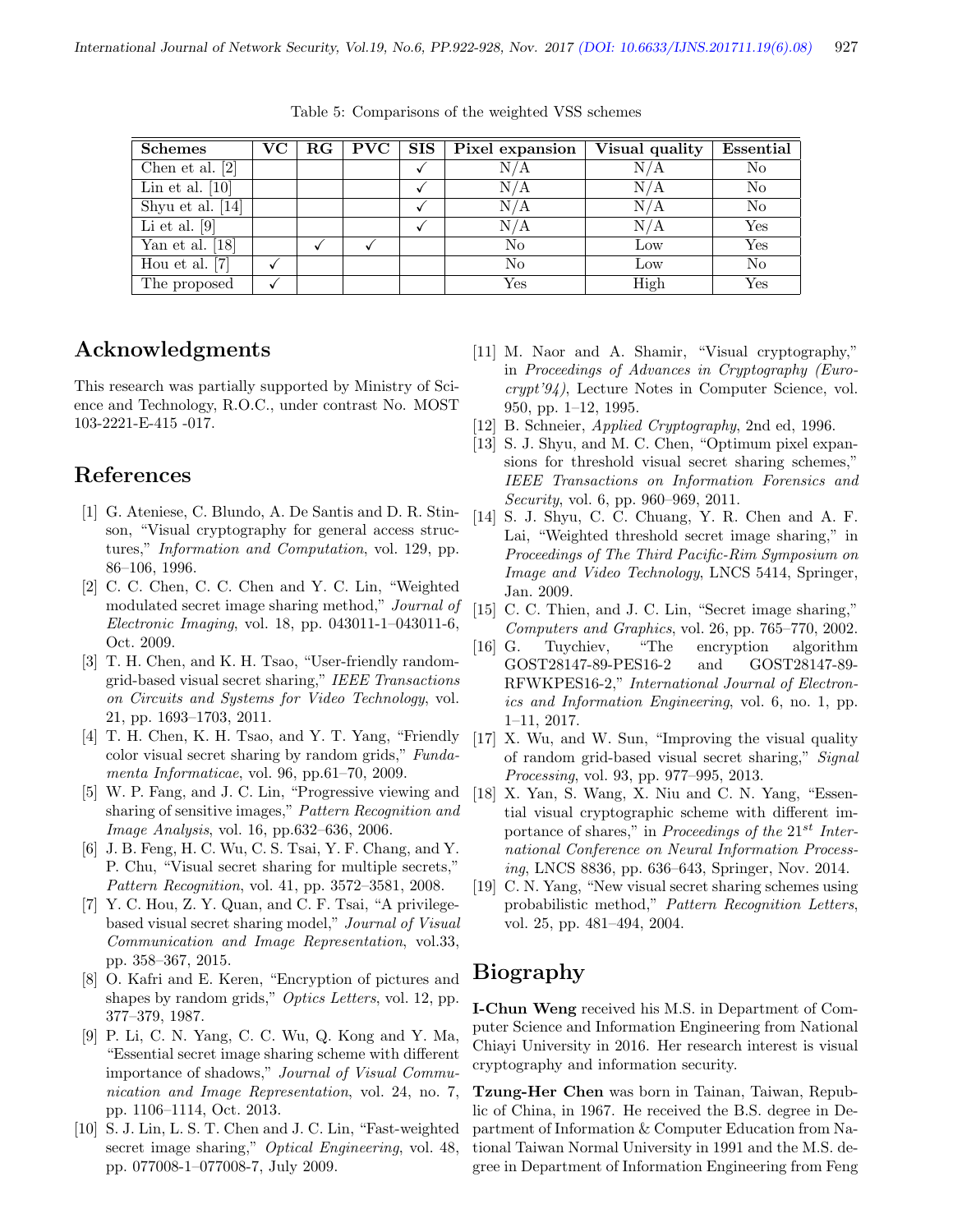| <b>Schemes</b>    | $\rm VC$ | $\mathbf{RG}$ | $PVC$ SIS | Pixel expansion | Visual quality  | Essential    |
|-------------------|----------|---------------|-----------|-----------------|-----------------|--------------|
| Chen et al. $[2]$ |          |               |           | N/A             | N/A             | No           |
| Lin et al. $[10]$ |          |               |           | N/A             | N/A             | No           |
| Shyu et al. [14]  |          |               |           | N/A             | N/A             | No           |
| Li et al. $[9]$   |          |               |           | N/A             | N/A             | Yes          |
| Yan et al. $[18]$ |          |               |           | No              | $_{\text{Low}}$ | Yes          |
| Hou et al. $[7]$  |          |               |           | No              | Low             | No           |
| The proposed      |          |               |           | Yes             | High            | $_{\rm Yes}$ |

Table 5: Comparisons of the weighted VSS schemes

## Acknowledgments

This research was partially supported by Ministry of Science and Technology, R.O.C., under contrast No. MOST 103-2221-E-415 -017.

### References

- [1] G. Ateniese, C. Blundo, A. De Santis and D. R. Stinson, "Visual cryptography for general access structures," Information and Computation, vol. 129, pp. 86–106, 1996.
- [2] C. C. Chen, C. C. Chen and Y. C. Lin, "Weighted modulated secret image sharing method," Journal of Electronic Imaging, vol. 18, pp. 043011-1–043011-6, Oct. 2009.
- [3] T. H. Chen, and K. H. Tsao, "User-friendly randomgrid-based visual secret sharing," IEEE Transactions on Circuits and Systems for Video Technology, vol. 21, pp. 1693–1703, 2011.
- [4] T. H. Chen, K. H. Tsao, and Y. T. Yang, "Friendly color visual secret sharing by random grids," Fundamenta Informaticae, vol. 96, pp.61–70, 2009.
- [5] W. P. Fang, and J. C. Lin, "Progressive viewing and sharing of sensitive images," Pattern Recognition and Image Analysis, vol. 16, pp.632–636, 2006.
- [6] J. B. Feng, H. C. Wu, C. S. Tsai, Y. F. Chang, and Y. P. Chu, "Visual secret sharing for multiple secrets," Pattern Recognition, vol. 41, pp. 3572–3581, 2008.
- [7] Y. C. Hou, Z. Y. Quan, and C. F. Tsai, "A privilegebased visual secret sharing model," Journal of Visual Communication and Image Representation, vol.33, pp. 358–367, 2015.
- [8] O. Kafri and E. Keren, "Encryption of pictures and shapes by random grids," Optics Letters, vol. 12, pp. 377–379, 1987.
- [9] P. Li, C. N. Yang, C. C. Wu, Q. Kong and Y. Ma, "Essential secret image sharing scheme with different importance of shadows," Journal of Visual Communication and Image Representation, vol. 24, no. 7, pp. 1106–1114, Oct. 2013.
- [10] S. J. Lin, L. S. T. Chen and J. C. Lin, "Fast-weighted secret image sharing," Optical Engineering, vol. 48, pp. 077008-1–077008-7, July 2009.
- [11] M. Naor and A. Shamir, "Visual cryptography," in Proceedings of Advances in Cryptography (Eurocrypt'94), Lecture Notes in Computer Science, vol. 950, pp. 1–12, 1995.
- [12] B. Schneier, Applied Cryptography, 2nd ed, 1996.
- [13] S. J. Shyu, and M. C. Chen, "Optimum pixel expansions for threshold visual secret sharing schemes," IEEE Transactions on Information Forensics and Security, vol. 6, pp. 960–969, 2011.
- [14] S. J. Shyu, C. C. Chuang, Y. R. Chen and A. F. Lai, "Weighted threshold secret image sharing," in Proceedings of The Third Pacific-Rim Symposium on Image and Video Technology, LNCS 5414, Springer, Jan. 2009.
- [15] C. C. Thien, and J. C. Lin, "Secret image sharing," Computers and Graphics, vol. 26, pp. 765–770, 2002.
- [16] G. Tuychiev, "The encryption algorithm GOST28147-89-PES16-2 and GOST28147-89- RFWKPES16-2," International Journal of Electronics and Information Engineering, vol. 6, no. 1, pp. 1–11, 2017.
- [17] X. Wu, and W. Sun, "Improving the visual quality of random grid-based visual secret sharing," Signal Processing, vol. 93, pp. 977–995, 2013.
- [18] X. Yan, S. Wang, X. Niu and C. N. Yang, "Essential visual cryptographic scheme with different importance of shares," in Proceedings of the  $21^{st}$  International Conference on Neural Information Processing, LNCS 8836, pp. 636–643, Springer, Nov. 2014.
- [19] C. N. Yang, "New visual secret sharing schemes using probabilistic method," Pattern Recognition Letters, vol. 25, pp. 481–494, 2004.

# Biography

I-Chun Weng received his M.S. in Department of Computer Science and Information Engineering from National Chiayi University in 2016. Her research interest is visual cryptography and information security.

Tzung-Her Chen was born in Tainan, Taiwan, Republic of China, in 1967. He received the B.S. degree in Department of Information & Computer Education from National Taiwan Normal University in 1991 and the M.S. degree in Department of Information Engineering from Feng